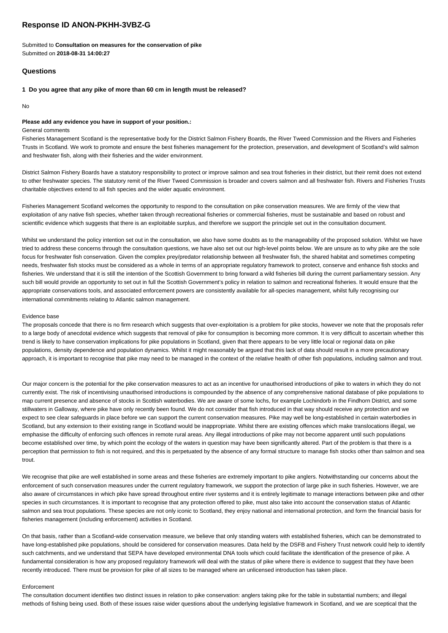# **Response ID ANON-PKHH-3VBZ-G**

Submitted to **Consultation on measures for the conservation of pike** Submitted on **2018-08-31 14:00:27**

## **Questions**

#### **1 Do you agree that any pike of more than 60 cm in length must be released?**

No

#### **Please add any evidence you have in support of your position.:**

#### General comments

Fisheries Management Scotland is the representative body for the District Salmon Fishery Boards, the River Tweed Commission and the Rivers and Fisheries Trusts in Scotland. We work to promote and ensure the best fisheries management for the protection, preservation, and development of Scotland's wild salmon and freshwater fish, along with their fisheries and the wider environment.

District Salmon Fishery Boards have a statutory responsibility to protect or improve salmon and sea trout fisheries in their district, but their remit does not extend to other freshwater species. The statutory remit of the River Tweed Commission is broader and covers salmon and all freshwater fish. Rivers and Fisheries Trusts charitable objectives extend to all fish species and the wider aquatic environment.

Fisheries Management Scotland welcomes the opportunity to respond to the consultation on pike conservation measures. We are firmly of the view that exploitation of any native fish species, whether taken through recreational fisheries or commercial fisheries, must be sustainable and based on robust and scientific evidence which suggests that there is an exploitable surplus, and therefore we support the principle set out in the consultation document.

Whilst we understand the policy intention set out in the consultation, we also have some doubts as to the manageability of the proposed solution. Whilst we have tried to address these concerns through the consultation questions, we have also set out our high-level points below. We are unsure as to why pike are the sole focus for freshwater fish conservation. Given the complex prey/predator relationship between all freshwater fish, the shared habitat and sometimes competing needs, freshwater fish stocks must be considered as a whole in terms of an appropriate regulatory framework to protect, conserve and enhance fish stocks and fisheries. We understand that it is still the intention of the Scottish Government to bring forward a wild fisheries bill during the current parliamentary session. Any such bill would provide an opportunity to set out in full the Scottish Government's policy in relation to salmon and recreational fisheries. It would ensure that the appropriate conservations tools, and associated enforcement powers are consistently available for all-species management, whilst fully recognising our international commitments relating to Atlantic salmon management.

#### Evidence base

The proposals concede that there is no firm research which suggests that over-exploitation is a problem for pike stocks, however we note that the proposals refer to a large body of anecdotal evidence which suggests that removal of pike for consumption is becoming more common. It is very difficult to ascertain whether this trend is likely to have conservation implications for pike populations in Scotland, given that there appears to be very little local or regional data on pike populations, density dependence and population dynamics. Whilst it might reasonably be argued that this lack of data should result in a more precautionary approach, it is important to recognise that pike may need to be managed in the context of the relative health of other fish populations, including salmon and trout.

Our major concern is the potential for the pike conservation measures to act as an incentive for unauthorised introductions of pike to waters in which they do not currently exist. The risk of incentivising unauthorised introductions is compounded by the absence of any comprehensive national database of pike populations to map current presence and absence of stocks in Scottish waterbodies. We are aware of some lochs, for example Lochindorb in the Findhorn District, and some stillwaters in Galloway, where pike have only recently been found. We do not consider that fish introduced in that way should receive any protection and we expect to see clear safeguards in place before we can support the current conservation measures. Pike may well be long-established in certain waterbodies in Scotland, but any extension to their existing range in Scotland would be inappropriate. Whilst there are existing offences which make translocations illegal, we emphasise the difficulty of enforcing such offences in remote rural areas. Any illegal introductions of pike may not become apparent until such populations become established over time, by which point the ecology of the waters in question may have been significantly altered. Part of the problem is that there is a perception that permission to fish is not required, and this is perpetuated by the absence of any formal structure to manage fish stocks other than salmon and sea trout.

We recognise that pike are well established in some areas and these fisheries are extremely important to pike anglers. Notwithstanding our concerns about the enforcement of such conservation measures under the current regulatory framework, we support the protection of large pike in such fisheries. However, we are also aware of circumstances in which pike have spread throughout entire river systems and it is entirely legitimate to manage interactions between pike and other species in such circumstances. It is important to recognise that any protection offered to pike, must also take into account the conservation status of Atlantic salmon and sea trout populations. These species are not only iconic to Scotland, they enjoy national and international protection, and form the financial basis for fisheries management (including enforcement) activities in Scotland.

On that basis, rather than a Scotland-wide conservation measure, we believe that only standing waters with established fisheries, which can be demonstrated to have long-established pike populations, should be considered for conservation measures. Data held by the DSFB and Fishery Trust network could help to identify such catchments, and we understand that SEPA have developed environmental DNA tools which could facilitate the identification of the presence of pike. A fundamental consideration is how any proposed regulatory framework will deal with the status of pike where there is evidence to suggest that they have been recently introduced. There must be provision for pike of all sizes to be managed where an unlicensed introduction has taken place.

#### Enforcement

The consultation document identifies two distinct issues in relation to pike conservation: anglers taking pike for the table in substantial numbers; and illegal methods of fishing being used. Both of these issues raise wider questions about the underlying legislative framework in Scotland, and we are sceptical that the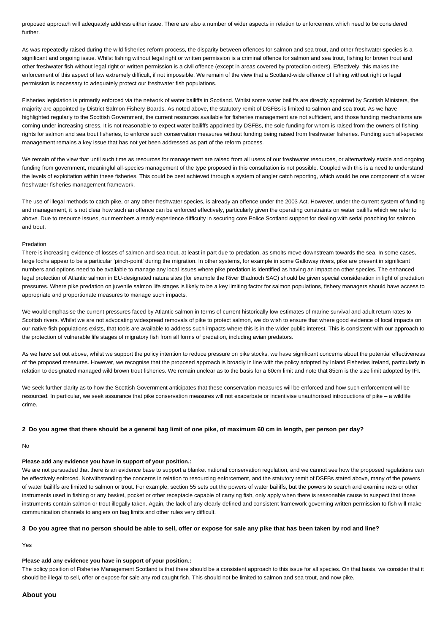proposed approach will adequately address either issue. There are also a number of wider aspects in relation to enforcement which need to be considered further.

As was repeatedly raised during the wild fisheries reform process, the disparity between offences for salmon and sea trout, and other freshwater species is a significant and ongoing issue. Whilst fishing without legal right or written permission is a criminal offence for salmon and sea trout, fishing for brown trout and other freshwater fish without legal right or written permission is a civil offence (except in areas covered by protection orders). Effectively, this makes the enforcement of this aspect of law extremely difficult, if not impossible. We remain of the view that a Scotland-wide offence of fishing without right or legal permission is necessary to adequately protect our freshwater fish populations.

Fisheries legislation is primarily enforced via the network of water bailiffs in Scotland. Whilst some water bailiffs are directly appointed by Scottish Ministers, the majority are appointed by District Salmon Fishery Boards. As noted above, the statutory remit of DSFBs is limited to salmon and sea trout. As we have highlighted regularly to the Scottish Government, the current resources available for fisheries management are not sufficient, and those funding mechanisms are coming under increasing stress. It is not reasonable to expect water bailiffs appointed by DSFBs, the sole funding for whom is raised from the owners of fishing rights for salmon and sea trout fisheries, to enforce such conservation measures without funding being raised from freshwater fisheries. Funding such all-species management remains a key issue that has not yet been addressed as part of the reform process.

We remain of the view that until such time as resources for management are raised from all users of our freshwater resources, or alternatively stable and ongoing funding from government, meaningful all-species management of the type proposed in this consultation is not possible. Coupled with this is a need to understand the levels of exploitation within these fisheries. This could be best achieved through a system of angler catch reporting, which would be one component of a wider freshwater fisheries management framework.

The use of illegal methods to catch pike, or any other freshwater species, is already an offence under the 2003 Act. However, under the current system of funding and management, it is not clear how such an offence can be enforced effectively, particularly given the operating constraints on water bailiffs which we refer to above. Due to resource issues, our members already experience difficulty in securing core Police Scotland support for dealing with serial poaching for salmon and trout.

#### Predation

There is increasing evidence of losses of salmon and sea trout, at least in part due to predation, as smolts move downstream towards the sea. In some cases, large lochs appear to be a particular 'pinch-point' during the migration. In other systems, for example in some Galloway rivers, pike are present in significant numbers and options need to be available to manage any local issues where pike predation is identified as having an impact on other species. The enhanced legal protection of Atlantic salmon in EU-designated natura sites (for example the River Bladnoch SAC) should be given special consideration in light of predation pressures. Where pike predation on juvenile salmon life stages is likely to be a key limiting factor for salmon populations, fishery managers should have access to appropriate and proportionate measures to manage such impacts.

We would emphasise the current pressures faced by Atlantic salmon in terms of current historically low estimates of marine survival and adult return rates to Scottish rivers. Whilst we are not advocating widespread removals of pike to protect salmon, we do wish to ensure that where good evidence of local impacts on our native fish populations exists, that tools are available to address such impacts where this is in the wider public interest. This is consistent with our approach to the protection of vulnerable life stages of migratory fish from all forms of predation, including avian predators.

As we have set out above, whilst we support the policy intention to reduce pressure on pike stocks, we have significant concerns about the potential effectiveness of the proposed measures. However, we recognise that the proposed approach is broadly in line with the policy adopted by Inland Fisheries Ireland, particularly in relation to designated managed wild brown trout fisheries. We remain unclear as to the basis for a 60cm limit and note that 85cm is the size limit adopted by IFI.

We seek further clarity as to how the Scottish Government anticipates that these conservation measures will be enforced and how such enforcement will be resourced. In particular, we seek assurance that pike conservation measures will not exacerbate or incentivise unauthorised introductions of pike – a wildlife crime.

#### **2 Do you agree that there should be a general bag limit of one pike, of maximum 60 cm in length, per person per day?**

### No

## **Please add any evidence you have in support of your position.:**

We are not persuaded that there is an evidence base to support a blanket national conservation regulation, and we cannot see how the proposed regulations can be effectively enforced. Notwithstanding the concerns in relation to resourcing enforcement, and the statutory remit of DSFBs stated above, many of the powers of water bailiffs are limited to salmon or trout. For example, section 55 sets out the powers of water bailiffs, but the powers to search and examine nets or other instruments used in fishing or any basket, pocket or other receptacle capable of carrying fish, only apply when there is reasonable cause to suspect that those instruments contain salmon or trout illegally taken. Again, the lack of any clearly-defined and consistent framework governing written permission to fish will make communication channels to anglers on bag limits and other rules very difficult.

## **3 Do you agree that no person should be able to sell, offer or expose for sale any pike that has been taken by rod and line?**

Yes

### **Please add any evidence you have in support of your position.:**

The policy position of Fisheries Management Scotland is that there should be a consistent approach to this issue for all species. On that basis, we consider that it should be illegal to sell, offer or expose for sale any rod caught fish. This should not be limited to salmon and sea trout, and now pike.

### **About you**